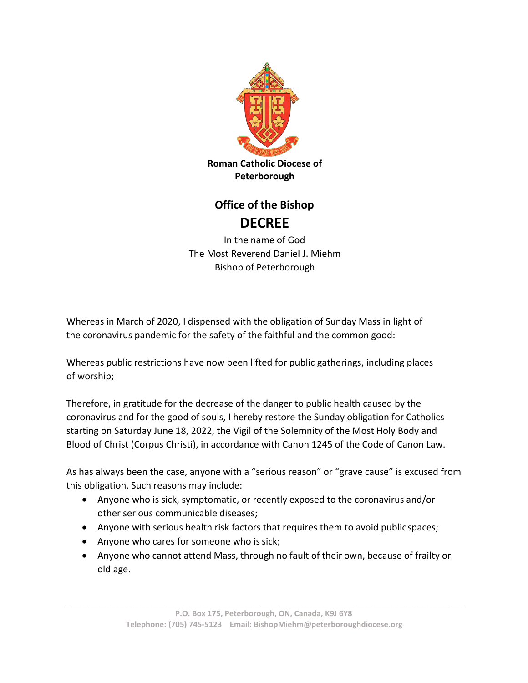

**Peterborough**

## **Office of the Bishop DECREE**

In the name of God The Most Reverend Daniel J. Miehm Bishop of Peterborough

Whereas in March of 2020, I dispensed with the obligation of Sunday Mass in light of the coronavirus pandemic for the safety of the faithful and the common good:

Whereas public restrictions have now been lifted for public gatherings, including places of worship;

Therefore, in gratitude for the decrease of the danger to public health caused by the coronavirus and for the good of souls, I hereby restore the Sunday obligation for Catholics starting on Saturday June 18, 2022, the Vigil of the Solemnity of the Most Holy Body and Blood of Christ (Corpus Christi), in accordance with Canon 1245 of the Code of Canon Law.

As has always been the case, anyone with a "serious reason" or "grave cause" is excused from this obligation. Such reasons may include:

- Anyone who is sick, symptomatic, or recently exposed to the coronavirus and/or other serious communicable diseases;
- Anyone with serious health risk factors that requires them to avoid public spaces;
- Anyone who cares for someone who is sick;
- Anyone who cannot attend Mass, through no fault of their own, because of frailty or old age.